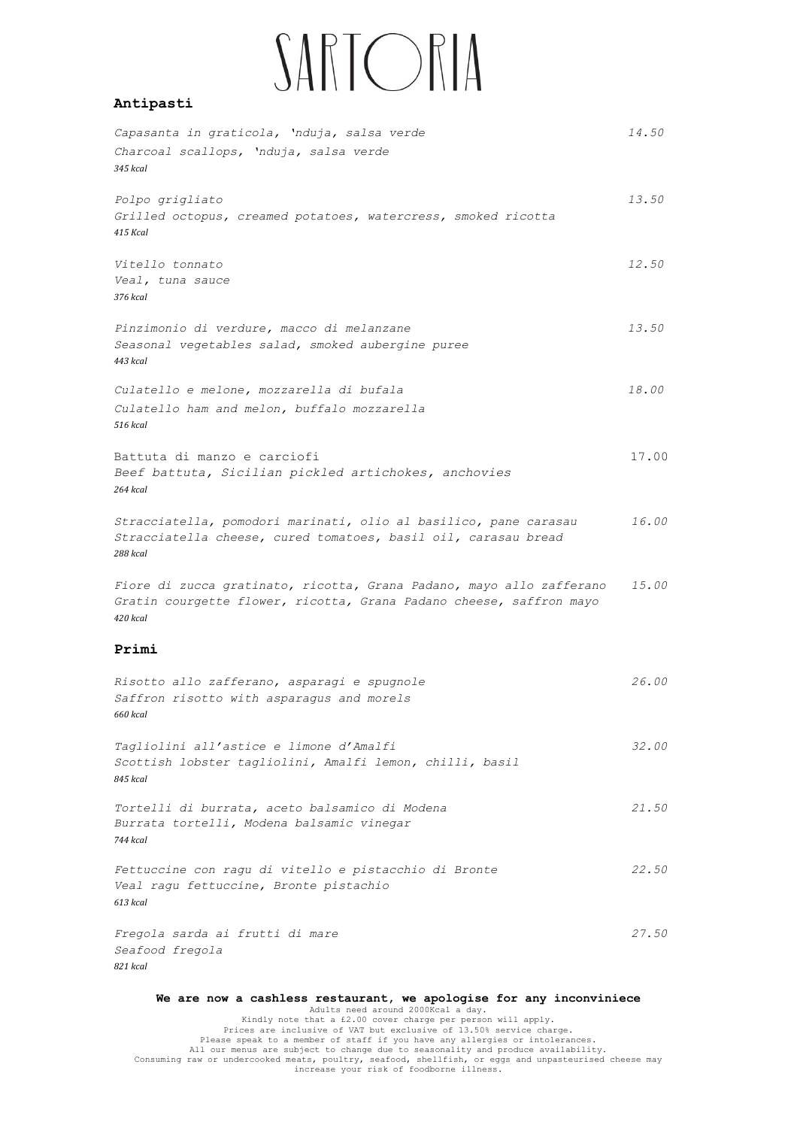## SARTORIA

## **Antipasti**

| Capasanta in graticola, 'nduja, salsa verde<br>Charcoal scallops, 'nduja, salsa verde<br>345 kcal                                                       | 14.50 |
|---------------------------------------------------------------------------------------------------------------------------------------------------------|-------|
| Polpo grigliato<br>Grilled octopus, creamed potatoes, watercress, smoked ricotta<br>415 Kcal                                                            | 13.50 |
| Vitello tonnato<br>Veal, tuna sauce<br>376 kcal                                                                                                         | 12.50 |
| Pinzimonio di verdure, macco di melanzane<br>Seasonal vegetables salad, smoked aubergine puree<br>443 kcal                                              | 13.50 |
| Culatello e melone, mozzarella di bufala<br>Culatello ham and melon, buffalo mozzarella<br>516 kcal                                                     | 18.00 |
| Battuta di manzo e carciofi<br>Beef battuta, Sicilian pickled artichokes, anchovies<br>264 kcal                                                         | 17.00 |
| Stracciatella, pomodori marinati, olio al basilico, pane carasau<br>Stracciatella cheese, cured tomatoes, basil oil, carasau bread<br>288 kcal          | 16.00 |
| Fiore di zucca gratinato, ricotta, Grana Padano, mayo allo zafferano<br>Gratin courgette flower, ricotta, Grana Padano cheese, saffron mayo<br>420 kcal | 15.00 |
| Primi                                                                                                                                                   |       |
| Risotto allo zafferano, asparagi e spugnole<br>Saffron risotto with asparagus and morels<br>660 kcal                                                    | 26.00 |
| Tagliolini all'astice e limone d'Amalfi<br>Scottish lobster tagliolini, Amalfi lemon, chilli, basil<br>845 kcal                                         | 32.00 |
| Tortelli di burrata, aceto balsamico di Modena<br>Burrata tortelli, Modena balsamic vinegar<br>744 kcal                                                 | 21.50 |
| Fettuccine con ragu di vitello e pistacchio di Bronte<br>Veal ragu fettuccine, Bronte pistachio<br>613 kcal                                             | 22.50 |
| Fregola sarda ai frutti di mare<br>Seafood fregola<br>821 kcal                                                                                          | 27.50 |

We are now a cashless restaurant, we apologise for any inconviniece<br>
Adults need around 2000Kcal a day.<br>
Exides that a £2.00 cover charge per person will apply.<br>
Prices are inclusive of VAT but exclusive of 13.50% service